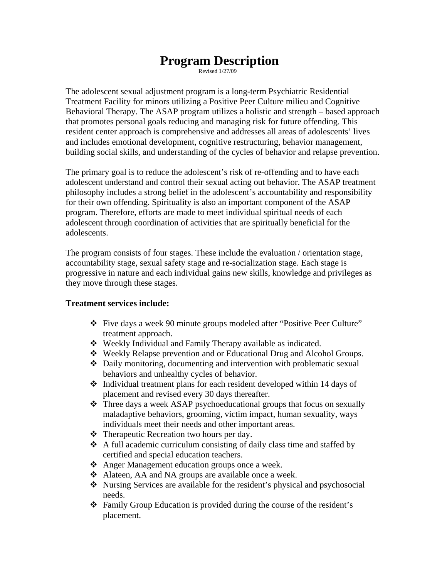## **Program Description**

Revised 1/27/09

The adolescent sexual adjustment program is a long-term Psychiatric Residential Treatment Facility for minors utilizing a Positive Peer Culture milieu and Cognitive Behavioral Therapy. The ASAP program utilizes a holistic and strength – based approach that promotes personal goals reducing and managing risk for future offending. This resident center approach is comprehensive and addresses all areas of adolescents' lives and includes emotional development, cognitive restructuring, behavior management, building social skills, and understanding of the cycles of behavior and relapse prevention.

The primary goal is to reduce the adolescent's risk of re-offending and to have each adolescent understand and control their sexual acting out behavior. The ASAP treatment philosophy includes a strong belief in the adolescent's accountability and responsibility for their own offending. Spirituality is also an important component of the ASAP program. Therefore, efforts are made to meet individual spiritual needs of each adolescent through coordination of activities that are spiritually beneficial for the adolescents.

The program consists of four stages. These include the evaluation / orientation stage, accountability stage, sexual safety stage and re-socialization stage. Each stage is progressive in nature and each individual gains new skills, knowledge and privileges as they move through these stages.

## **Treatment services include:**

- \* Five days a week 90 minute groups modeled after "Positive Peer Culture" treatment approach.
- Weekly Individual and Family Therapy available as indicated.
- Weekly Relapse prevention and or Educational Drug and Alcohol Groups.
- Daily monitoring, documenting and intervention with problematic sexual behaviors and unhealthy cycles of behavior.
- Individual treatment plans for each resident developed within 14 days of placement and revised every 30 days thereafter.
- \* Three days a week ASAP psychoeducational groups that focus on sexually maladaptive behaviors, grooming, victim impact, human sexuality, ways individuals meet their needs and other important areas.
- Therapeutic Recreation two hours per day.
- $\triangle$  A full academic curriculum consisting of daily class time and staffed by certified and special education teachers.
- Anger Management education groups once a week.
- $\triangle$  Alateen, AA and NA groups are available once a week.
- Nursing Services are available for the resident's physical and psychosocial needs.
- Family Group Education is provided during the course of the resident's placement.